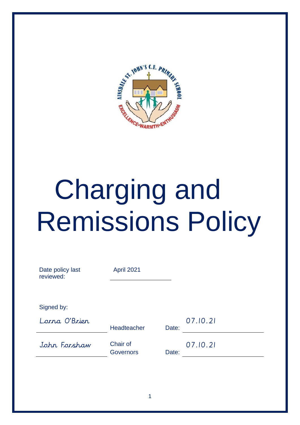

# Charging and Remissions Policy

| Date policy last<br>reviewed: | April 2021                   |       |          |
|-------------------------------|------------------------------|-------|----------|
| Signed by:                    |                              |       |          |
| Lorna O'Brier                 | Headteacher                  | Date: | 07.10.21 |
| John Forshaw                  | Chair of<br><b>Governors</b> | Date: | 07.10.21 |
|                               |                              |       |          |

1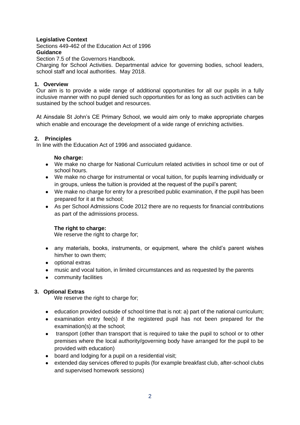# **Legislative Context**

Sections 449-462 of the Education Act of 1996 **Guidance** 

Section 7.5 of the Governors Handbook.

Charging for School Activities. Departmental advice for governing bodies, school leaders, school staff and local authorities. May 2018.

## **1. Overview**

Our aim is to provide a wide range of additional opportunities for all our pupils in a fully inclusive manner with no pupil denied such opportunities for as long as such activities can be sustained by the school budget and resources.

At Ainsdale St John's CE Primary School, we would aim only to make appropriate charges which enable and encourage the development of a wide range of enriching activities.

## **2. Principles**

In line with the Education Act of 1996 and associated guidance.

#### No charge:

- We make no charge for National Curriculum related activities in school time or out of school hours.
- We make no charge for instrumental or vocal tuition, for pupils learning individually or in groups, unless the tuition is provided at the request of the pupil's parent;
- We make no charge for entry for a prescribed public examination, if the pupil has been prepared for it at the school;
- As per School Admissions Code 2012 there are no requests for financial contributions as part of the admissions process.

## **The right to charge:**

We reserve the right to charge for;

- any materials, books, instruments, or equipment, where the child's parent wishes him/her to own them;
- optional extras
- music and vocal tuition, in limited circumstances and as requested by the parents
- community facilities

## **3. Optional Extras**

We reserve the right to charge for;

- education provided outside of school time that is not: a) part of the national curriculum;
- examination entry fee(s) if the registered pupil has not been prepared for the examination(s) at the school;
- transport (other than transport that is required to take the pupil to school or to other premises where the local authority/governing body have arranged for the pupil to be provided with education)
- board and lodging for a pupil on a residential visit;
- extended day services offered to pupils (for example breakfast club, after-school clubs and supervised homework sessions)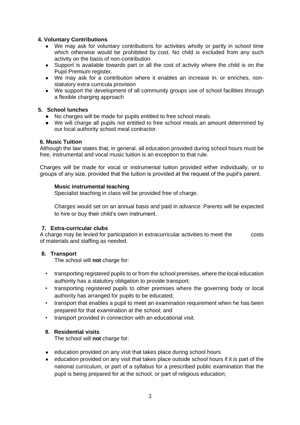# **4. Voluntary Contributions**

- We may ask for voluntary contributions for activities wholly or partly in school time which otherwise would be prohibited by cost. No child is excluded from any such activity on the basis of non-contribution
- Support is available towards part or all the cost of activity where the child is on the Pupil Premium register.
- We may ask for a contribution where it enables an increase in, or enriches, nonstatutory extra curricula provision
- We support the development of all community groups use of school facilities through a flexible charging approach

## **5. School lunches**

- No charges will be made for pupils entitled to free school meals.
- We will charge all pupils not entitled to free school meals an amount determined by our local authority school meal contractor.

## **6. Music Tuition**

Although the law states that, in general, all education provided during school hours must be free, instrumental and vocal music tuition is an exception to that rule.

Charges will be made for vocal or instrumental tuition provided either individually, or to groups of any size, provided that the tuition is provided at the request of the pupil's parent.

## **Music instrumental teaching**

Specialist teaching in class will be provided free of charge.

Charges would set on an annual basis and paid in advance. Parents will be expected to hire or buy their child's own instrument.

# **7. Extra-curricular clubs**

A charge may be levied for participation in extracurricular activities to meet the costs of materials and staffing as needed.

# **8. Transport**

The school will **not** charge for:

- transporting registered pupils to or from the school premises, where the local education authority has a statutory obligation to provide transport;
- transporting registered pupils to other premises where the governing body or local authority has arranged for pupils to be educated;
- transport that enables a pupil to meet an examination requirement when he has been prepared for that examination at the school; and
- transport provided in connection with an educational visit.

## **9. Residential visits**

The school will **not** charge for:

- education provided on any visit that takes place during school hours
- education provided on any visit that takes place outside school hours if it is part of the national curriculum, or part of a syllabus for a prescribed public examination that the pupil is being prepared for at the school, or part of religious education;